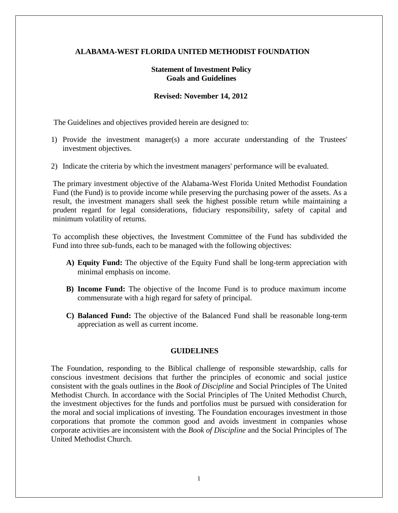## **ALABAMA-WEST FLORIDA UNITED METHODIST FOUNDATION**

# **Statement of Investment Policy Goals and Guidelines**

#### **Revised: November 14, 2012**

The Guidelines and objectives provided herein are designed to:

- 1) Provide the investment manager(s) a more accurate understanding of the Trustees' investment objectives.
- 2) Indicate the criteria by which the investment managers' performance will be evaluated.

The primary investment objective of the Alabama-West Florida United Methodist Foundation Fund (the Fund) is to provide income while preserving the purchasing power of the assets. As a result, the investment managers shall seek the highest possible return while maintaining a prudent regard for legal considerations, fiduciary responsibility, safety of capital and minimum volatility of returns.

To accomplish these objectives, the Investment Committee of the Fund has subdivided the Fund into three sub-funds, each to be managed with the following objectives:

- **A) Equity Fund:** The objective of the Equity Fund shall be long-term appreciation with minimal emphasis on income.
- **B) Income Fund:** The objective of the Income Fund is to produce maximum income commensurate with a high regard for safety of principal.
- **C) Balanced Fund:** The objective of the Balanced Fund shall be reasonable long-term appreciation as well as current income.

#### **GUIDELINES**

The Foundation, responding to the Biblical challenge of responsible stewardship, calls for conscious investment decisions that further the principles of economic and social justice consistent with the goals outlines in the *Book of Discipline* and Social Principles of The United Methodist Church. In accordance with the Social Principles of The United Methodist Church, the investment objectives for the funds and portfolios must be pursued with consideration for the moral and social implications of investing. The Foundation encourages investment in those corporations that promote the common good and avoids investment in companies whose corporate activities are inconsistent with the *Book of Discipline* and the Social Principles of The United Methodist Church.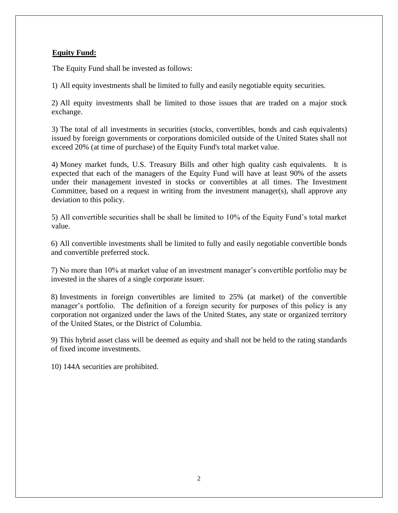# **Equity Fund:**

The Equity Fund shall be invested as follows:

1) All equity investments shall be limited to fully and easily negotiable equity securities.

2) All equity investments shall be limited to those issues that are traded on a major stock exchange.

3) The total of all investments in securities (stocks, convertibles, bonds and cash equivalents) issued by foreign governments or corporations domiciled outside of the United States shall not exceed 20% (at time of purchase) of the Equity Fund's total market value.

4) Money market funds, U.S. Treasury Bills and other high quality cash equivalents. It is expected that each of the managers of the Equity Fund will have at least 90% of the assets under their management invested in stocks or convertibles at all times. The Investment Committee, based on a request in writing from the investment manager(s), shall approve any deviation to this policy.

5) All convertible securities shall be shall be limited to 10% of the Equity Fund's total market value.

6) All convertible investments shall be limited to fully and easily negotiable convertible bonds and convertible preferred stock.

7) No more than 10% at market value of an investment manager's convertible portfolio may be invested in the shares of a single corporate issuer.

8) Investments in foreign convertibles are limited to 25% (at market) of the convertible manager's portfolio. The definition of a foreign security for purposes of this policy is any corporation not organized under the laws of the United States, any state or organized territory of the United States, or the District of Columbia.

9) This hybrid asset class will be deemed as equity and shall not be held to the rating standards of fixed income investments.

10) 144A securities are prohibited.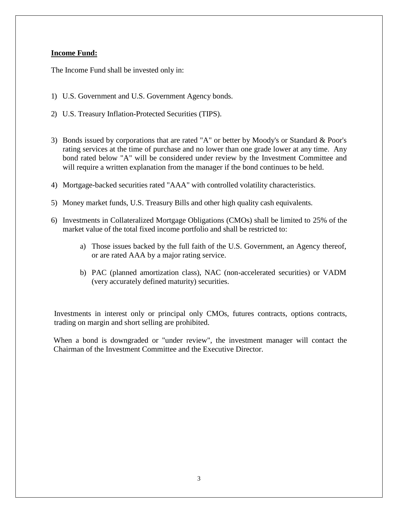# **Income Fund:**

The Income Fund shall be invested only in:

- 1) U.S. Government and U.S. Government Agency bonds.
- 2) U.S. Treasury Inflation-Protected Securities (TIPS).
- 3) Bonds issued by corporations that are rated "A" or better by Moody's or Standard & Poor's rating services at the time of purchase and no lower than one grade lower at any time. Any bond rated below "A" will be considered under review by the Investment Committee and will require a written explanation from the manager if the bond continues to be held.
- 4) Mortgage-backed securities rated "AAA" with controlled volatility characteristics.
- 5) Money market funds, U.S. Treasury Bills and other high quality cash equivalents.
- 6) Investments in Collateralized Mortgage Obligations (CMOs) shall be limited to 25% of the market value of the total fixed income portfolio and shall be restricted to:
	- a) Those issues backed by the full faith of the U.S. Government, an Agency thereof, or are rated AAA by a major rating service.
	- b) PAC (planned amortization class), NAC (non-accelerated securities) or VADM (very accurately defined maturity) securities.

Investments in interest only or principal only CMOs, futures contracts, options contracts, trading on margin and short selling are prohibited.

When a bond is downgraded or "under review", the investment manager will contact the Chairman of the Investment Committee and the Executive Director.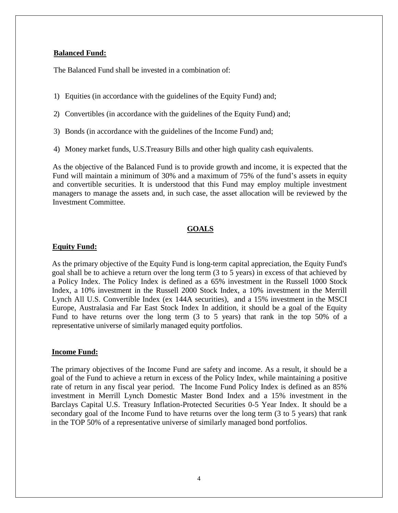### **Balanced Fund:**

The Balanced Fund shall be invested in a combination of:

- 1) Equities (in accordance with the guidelines of the Equity Fund) and;
- 2) Convertibles (in accordance with the guidelines of the Equity Fund) and;
- 3) Bonds (in accordance with the guidelines of the Income Fund) and;
- 4) Money market funds, U.S.Treasury Bills and other high quality cash equivalents.

As the objective of the Balanced Fund is to provide growth and income, it is expected that the Fund will maintain a minimum of 30% and a maximum of 75% of the fund's assets in equity and convertible securities. It is understood that this Fund may employ multiple investment managers to manage the assets and, in such case, the asset allocation will be reviewed by the Investment Committee.

### **GOALS**

#### **Equity Fund:**

As the primary objective of the Equity Fund is long-term capital appreciation, the Equity Fund's goal shall be to achieve a return over the long term (3 to 5 years) in excess of that achieved by a Policy Index. The Policy Index is defined as a 65% investment in the Russell 1000 Stock Index, a 10% investment in the Russell 2000 Stock Index, a 10% investment in the Merrill Lynch All U.S. Convertible Index (ex 144A securities), and a 15% investment in the MSCI Europe, Australasia and Far East Stock Index In addition, it should be a goal of the Equity Fund to have returns over the long term (3 to 5 years) that rank in the top 50% of a representative universe of similarly managed equity portfolios.

#### **Income Fund:**

The primary objectives of the Income Fund are safety and income. As a result, it should be a goal of the Fund to achieve a return in excess of the Policy Index, while maintaining a positive rate of return in any fiscal year period. The Income Fund Policy Index is defined as an 85% investment in Merrill Lynch Domestic Master Bond Index and a 15% investment in the Barclays Capital U.S. Treasury Inflation-Protected Securities 0-5 Year Index. It should be a secondary goal of the Income Fund to have returns over the long term (3 to 5 years) that rank in the TOP 50% of a representative universe of similarly managed bond portfolios.